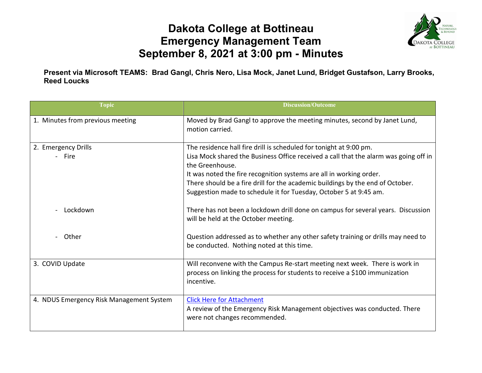## **Dakota College at Bottineau Emergency Management Team September 8, 2021 at 3:00 pm - Minutes**



**Present via Microsoft TEAMS: Brad Gangl, Chris Nero, Lisa Mock, Janet Lund, Bridget Gustafson, Larry Brooks, Reed Loucks**

| <b>Topic</b>                             | <b>Discussion/Outcome</b>                                                                                                                                                                                                                                                                                                              |
|------------------------------------------|----------------------------------------------------------------------------------------------------------------------------------------------------------------------------------------------------------------------------------------------------------------------------------------------------------------------------------------|
| 1. Minutes from previous meeting         | Moved by Brad Gangl to approve the meeting minutes, second by Janet Lund,<br>motion carried.                                                                                                                                                                                                                                           |
| 2. Emergency Drills<br>- Fire            | The residence hall fire drill is scheduled for tonight at 9:00 pm.<br>Lisa Mock shared the Business Office received a call that the alarm was going off in<br>the Greenhouse.<br>It was noted the fire recognition systems are all in working order.<br>There should be a fire drill for the academic buildings by the end of October. |
| Lockdown                                 | Suggestion made to schedule it for Tuesday, October 5 at 9:45 am.<br>There has not been a lockdown drill done on campus for several years. Discussion<br>will be held at the October meeting.                                                                                                                                          |
| Other                                    | Question addressed as to whether any other safety training or drills may need to<br>be conducted. Nothing noted at this time.                                                                                                                                                                                                          |
| 3. COVID Update                          | Will reconvene with the Campus Re-start meeting next week. There is work in<br>process on linking the process for students to receive a \$100 immunization<br>incentive.                                                                                                                                                               |
| 4. NDUS Emergency Risk Management System | <b>Click Here for Attachment</b><br>A review of the Emergency Risk Management objectives was conducted. There<br>were not changes recommended.                                                                                                                                                                                         |